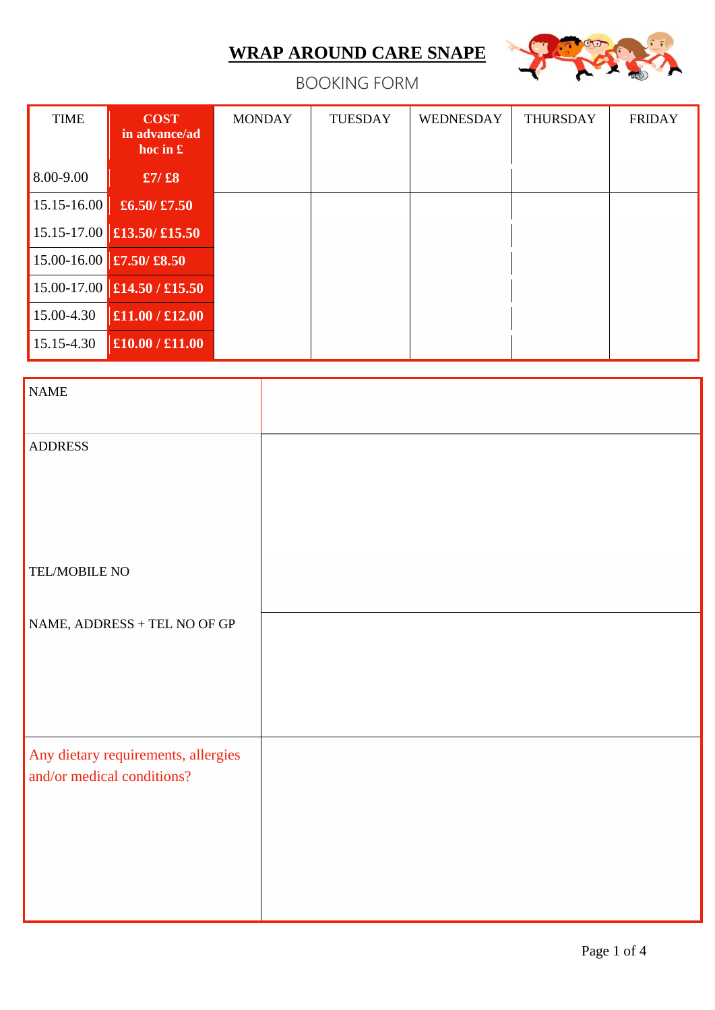

## BOOKING FORM

| <b>TIME</b>     | <b>COST</b><br>in advance/ad<br>hoc in $\mathbf{\pounds}$ | <b>MONDAY</b> | <b>TUESDAY</b> | WEDNESDAY | <b>THURSDAY</b> | <b>FRIDAY</b> |
|-----------------|-----------------------------------------------------------|---------------|----------------|-----------|-----------------|---------------|
| 8.00-9.00       | $\pounds$ 7/ $\pounds$ 8                                  |               |                |           |                 |               |
| $15.15 - 16.00$ | £6.50/ $\pounds$ 7.50                                     |               |                |           |                 |               |
|                 | $15.15 - 17.00$ £13.50/£15.50                             |               |                |           |                 |               |
|                 | $15.00 - 16.00$ £7.50/£8.50                               |               |                |           |                 |               |
|                 | $15.00 - 17.00$ £14.50 / £15.50                           |               |                |           |                 |               |
| 15.00-4.30      | £11.00 / £12.00                                           |               |                |           |                 |               |
| 15.15-4.30      | £10.00 / £11.00                                           |               |                |           |                 |               |

| $\ensuremath{\mathsf{NAME}}$        |  |
|-------------------------------------|--|
| <b>ADDRESS</b>                      |  |
|                                     |  |
|                                     |  |
| TEL/MOBILE NO                       |  |
|                                     |  |
| NAME, ADDRESS + TEL NO OF GP        |  |
|                                     |  |
|                                     |  |
| Any dietary requirements, allergies |  |
| and/or medical conditions?          |  |
|                                     |  |
|                                     |  |
|                                     |  |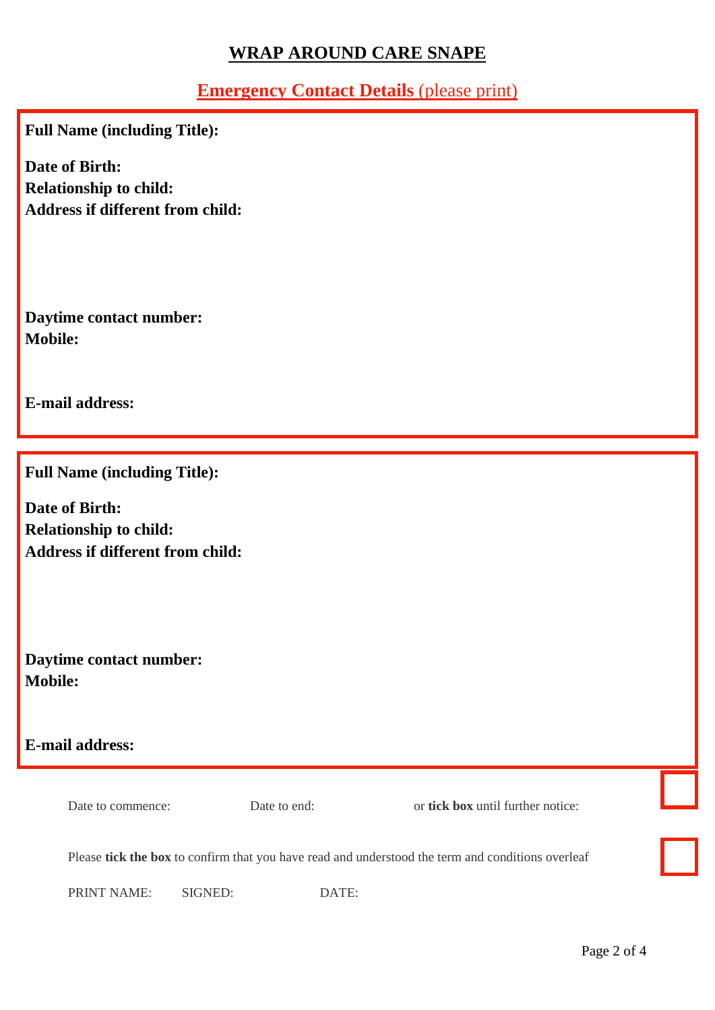## **Emergency Contact Details** (please print)

**Full Name (including Title):**

**Date of Birth: Relationship to child: Address if different from child:**

**Daytime contact number: Mobile:**

**E-mail address:**

**Full Name (including Title):**

**Date of Birth: Relationship to child: Address if different from child:**

**Daytime contact number: Mobile:**

**E-mail address:**

Date to commence: Date to end: or **tick box** until further notice:

Please **tick the box** to confirm that you have read and understood the term and conditions overleaf

PRINT NAME: SIGNED: DATE: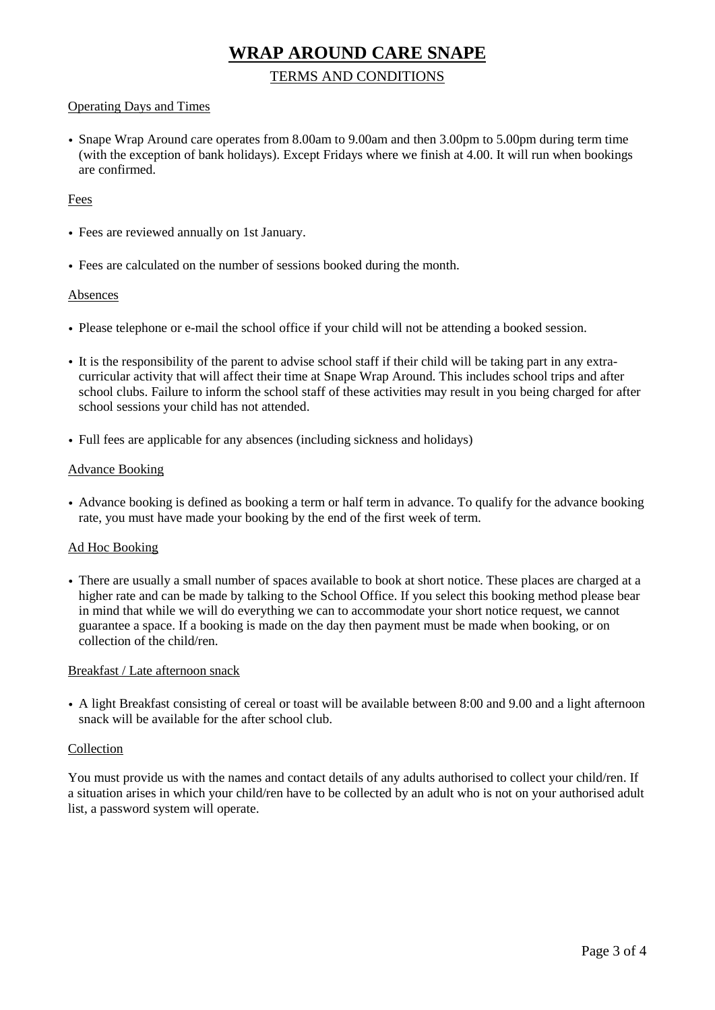#### TERMS AND CONDITIONS

#### Operating Days and Times

• Snape Wrap Around care operates from 8.00am to 9.00am and then 3.00pm to 5.00pm during term time (with the exception of bank holidays). Except Fridays where we finish at 4.00. It will run when bookings are confirmed.

#### Fees

- Fees are reviewed annually on 1st January.
- Fees are calculated on the number of sessions booked during the month.

#### Absences

- Please telephone or e-mail the school office if your child will not be attending a booked session.
- It is the responsibility of the parent to advise school staff if their child will be taking part in any extracurricular activity that will affect their time at Snape Wrap Around. This includes school trips and after school clubs. Failure to inform the school staff of these activities may result in you being charged for after school sessions your child has not attended.
- Full fees are applicable for any absences (including sickness and holidays)

#### Advance Booking

• Advance booking is defined as booking a term or half term in advance. To qualify for the advance booking rate, you must have made your booking by the end of the first week of term.

#### Ad Hoc Booking

• There are usually a small number of spaces available to book at short notice. These places are charged at a higher rate and can be made by talking to the School Office. If you select this booking method please bear in mind that while we will do everything we can to accommodate your short notice request, we cannot guarantee a space. If a booking is made on the day then payment must be made when booking, or on collection of the child/ren.

#### Breakfast / Late afternoon snack

• A light Breakfast consisting of cereal or toast will be available between 8:00 and 9.00 and a light afternoon snack will be available for the after school club.

#### Collection

You must provide us with the names and contact details of any adults authorised to collect your child/ren. If a situation arises in which your child/ren have to be collected by an adult who is not on your authorised adult list, a password system will operate.